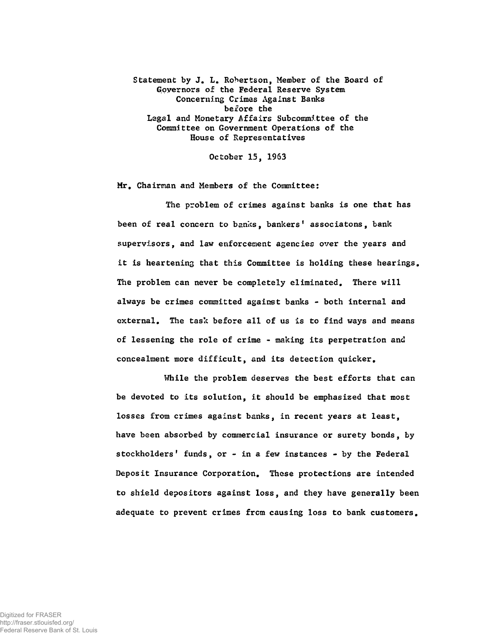Statement by J. L. Robertson, Member of the Board of Governors of the Federal Reserve System Concerning Crimes Against Banks before the Legal and Monetary Affairs Subcommittee of the Committee on Government Operations of the House of Representatives

October 15, 1963

Mr, Chairman and Members of the Committee:

The problem of crimes against banks is one that has been of real concern to banks, bankers' associatons, bank supervisors, and law enforcement agencies over the years and it is heartening that this Committee is holding these hearings. The problem can never be completely eliminated. There will always be crimes committed against banks - both internal and external. The task before all of us is to find ways and means of lessening the role of crime - making its perpetration and concealment more difficult, and its detection quicker.

While the problem deserves the best efforts that can be devoted to its solution, it should be emphasized that most losses from crimes against banks, in recent years at least, have been absorbed by commercial insurance or surety bonds, by stockholders' funds, or - in a few instances - by the Federal Deposit Insurance Corporation, These protections are intended to shield depositors against loss, and they have generally been adequate to prevent crimes from causing loss to bank customers.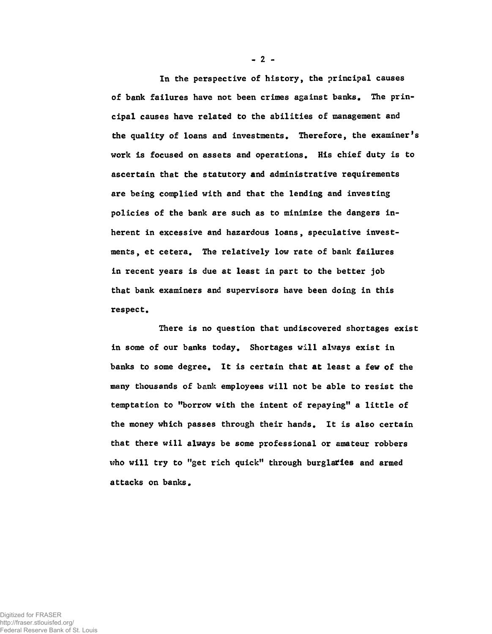In the perspective of history, the principal causes of bank failures have not been crimes against banks. The principal causes have related to the abilities of management and the quality of loans and investments. Therefore, the examiner's work is focused on assets and operations. His chief duty is to ascertain that the statutory and administrative requirements are being complied with and that the lending and investing policies of the bank are such as to minimize the dangers inherent in excessive and hazardous loans, speculative investments, et cetera. The relatively low rate of bank failures in recent years is due at least in part to the better job that bank examiners and supervisors have been doing in this respect.

There is no question that undiscovered shortages exist in some of our banks today. Shortages will always exist in banks to some degree. It is certain that at least a few of the many thousands of bank employees will not be able to resist the temptation to "borrow with the intent of repaying" a little of the money which passes through their hands. It is also certain that there will always be some professional or amateur robbers who will try to "get rich quick" through burglaries and armed attacks on banks.

**- 2 -**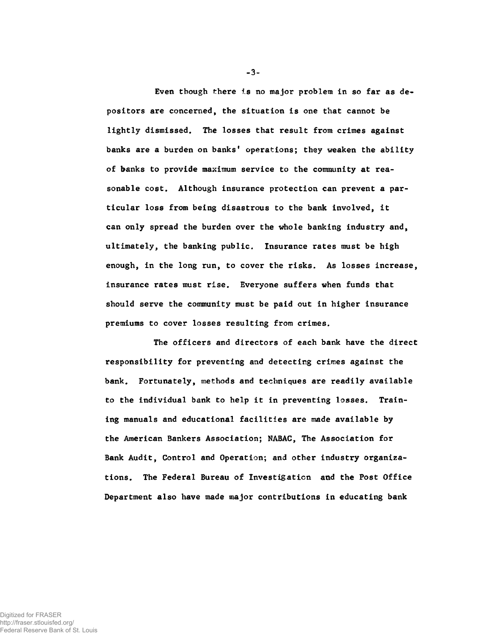Even though there is no major problem in so far as depositors are concerned, the situation is one that cannot be lightly dismissed. The losses that result from crimes against banks are a burden on banks' operations; they weaken the ability of banks to provide maximum service to the community at reasonable cost. Although insurance protection can prevent a particular loss from being disastrous to the bank involved, it can only spread the burden over the whole banking industry and, ultimately, the banking public. Insurance rates must be high enough, in the long run, to cover the risks. As losses increase, insurance rates must rise. Everyone suffers when funds that should serve the community must be paid out in higher insurance premiums to cover losses resulting from crimes.

The officers and directors of each bank have the direct responsibility for preventing and detecting crimes against the bank. Fortunately, methods and techniques are readily available to the individual bank to help it in preventing losses. Training manuals and educational facilities are made available by the American Bankers Association; NABAC, The Association for Bank Audit, Control and Operation; and other industry organizations. The Federal Bureau of Investigation and the Post Office Department also have made major contributions in educating bank

**-3-**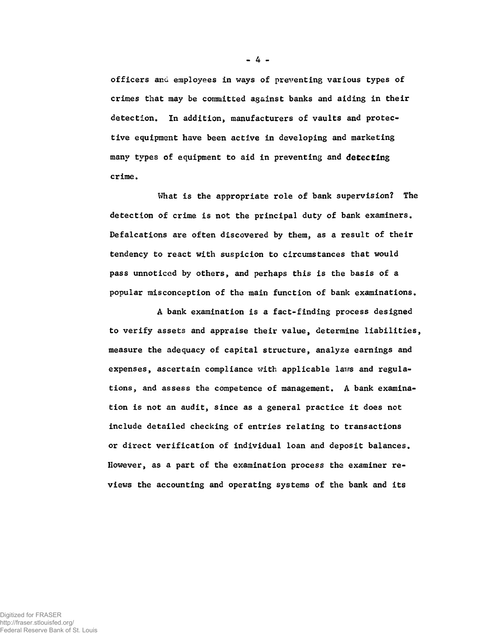officers and employees in ways of preventing various types of crimes that may be committed against banks and aiding in their detection. In addition, manufacturers of vaults and protective equipment have been active in developing and marketing many types of equipment to aid in preventing and detecting crime.

What is the appropriate role of bank supervision? The detection of crime is not the principal duty of bank examiners. Defalcations are often discovered by them, as a result of their tendency to react with suspicion to circumstances that would pass unnoticed by others, and perhaps this is the basis of a popular misconception of the main function of bank examinations.

A bank examination is a fact-finding process designed to verify assets and appraise their value, determine liabilities, measure the adequacy of capital structure, analyze earnings and expenses, ascertain compliance with applicable laws and regulations, and assess the competence of management. A bank examination is not an audit, since as a general practice it does not include detailed checking of entries relating to transactions or direct verification of individual loan and deposit balances. However, as a part of the examination process the examiner reviews the accounting and operating systems of the bank and its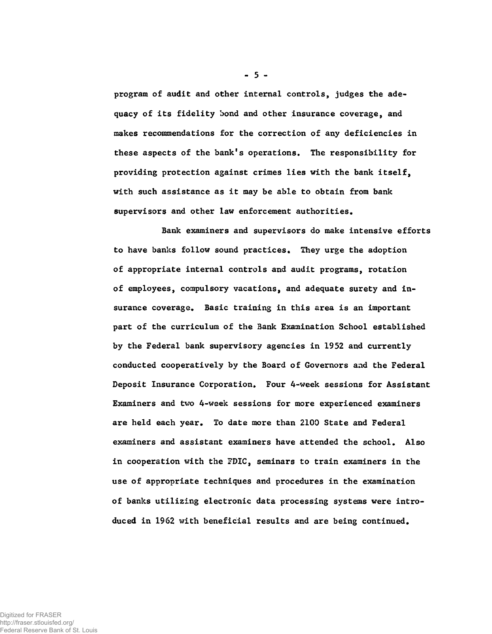program of audit and other internal controls, judges the adequacy of its fidelity bond and other insurance coverage, and makes recommendations for the correction of any deficiencies in these aspects of the bank's operations. The responsibility for providing protection against crimes lies with the bank itself, with such assistance as it may be able to obtain from bank supervisors and other law enforcement authorities.

Bank examiners and supervisors do make intensive efforts to have banks follow sound practices. They urge the adoption of appropriate internal controls and audit programs, rotation of employees, compulsory vacations, and adequate surety and insurance coverage. Basic training in this area is an important part of the curriculum of the Bank Examination School established by the Federal bank supervisory agencies in 1952 and currently conducted cooperatively by the Board of Governors and the Federal Deposit Insurance Corporation. Four 4-week sessions for Assistant Examiners and two 4-week sessions for more experienced examiners are held each year. To date more than 2100 State and Federal examiners and assistant examiners have attended the school. Also in cooperation with the FDIC, seminars to train examiners in the use of appropriate techniques and procedures in the examination of banks utilizing electronic data processing systems were introduced in 1962 with beneficial results and are being continued.

**- 5 -**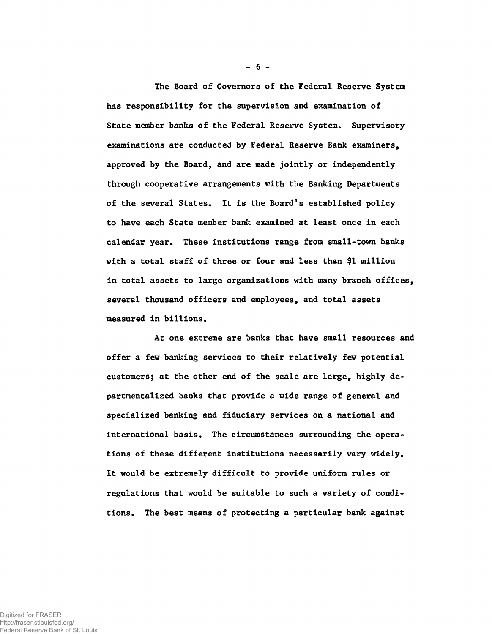The Board of Governors of the Federal Reserve System has responsibility for the supervision and examination of State member banks of the Federal Reserve System. Supervisory examinations are conducted by Federal Reserve Bank examiners, approved by the Board, and are made jointly or independently through cooperative arrangements with the Banking Departments of the several States, It is the Board's established policy to have each State member bank examined at least once in each calendar year. These institutions range from small-tovm banks with a total staff of three or four and less than \$1 million in total assets to large organizations with many branch offices, several thousand officers and employees, and total assets measured in billions.

At one extreme are banks that have small resources and offer a few banking services to their relatively few potential customers; at the other end of the scale are large, highly departmentalized banks that provide a wide range of general and specialized banking and fiduciary services on a national and international basis. The circumstances surrounding the operations of these different institutions necessarily vary widely. It would be extremely difficult to provide uniform rules or regulations that would be suitable to such a variety of conditions. The best means of protecting a particular bank against

 $-6-$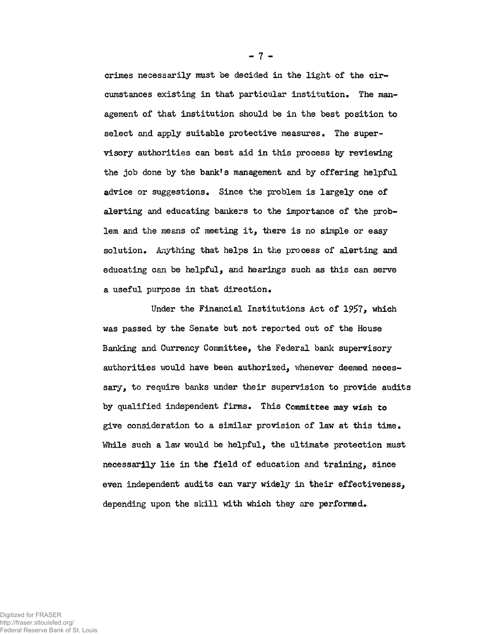crimes necessarily must be decided in the light of the circumstances existing in that particular institution. The management of that institution should be in the best position to select and apply suitable protective measures. The supervisory authorities can best aid in this process by reviewing the job done by the bank's management and by offering helpful advice or suggestions. Since the problem is largely one of alerting and educating bankers to the importance of the problem and the means of meeting it, there is no simple or easy solution. Anything that helps in the process of alerting and educating can be helpful, and hearings such as this can serve a useful purpose in that direction.

Under the Financial Institutions Act of 1957, which was passed by the Senate but not reported out of the House Banking and Currency Committee, the Federal bank supervisory authorities would have been authorized, whenever deemed necessary, to require banks under their supervision to provide audits by qualified independent firms. This Committee may wish to give consideration to a similar provision of law at this time. While such a law would be helpful, the ultimate protection must necessarily lie in the field of education and training, since even independent audits can vary widely in their effectiveness, depending upon the skill with which they are performed.